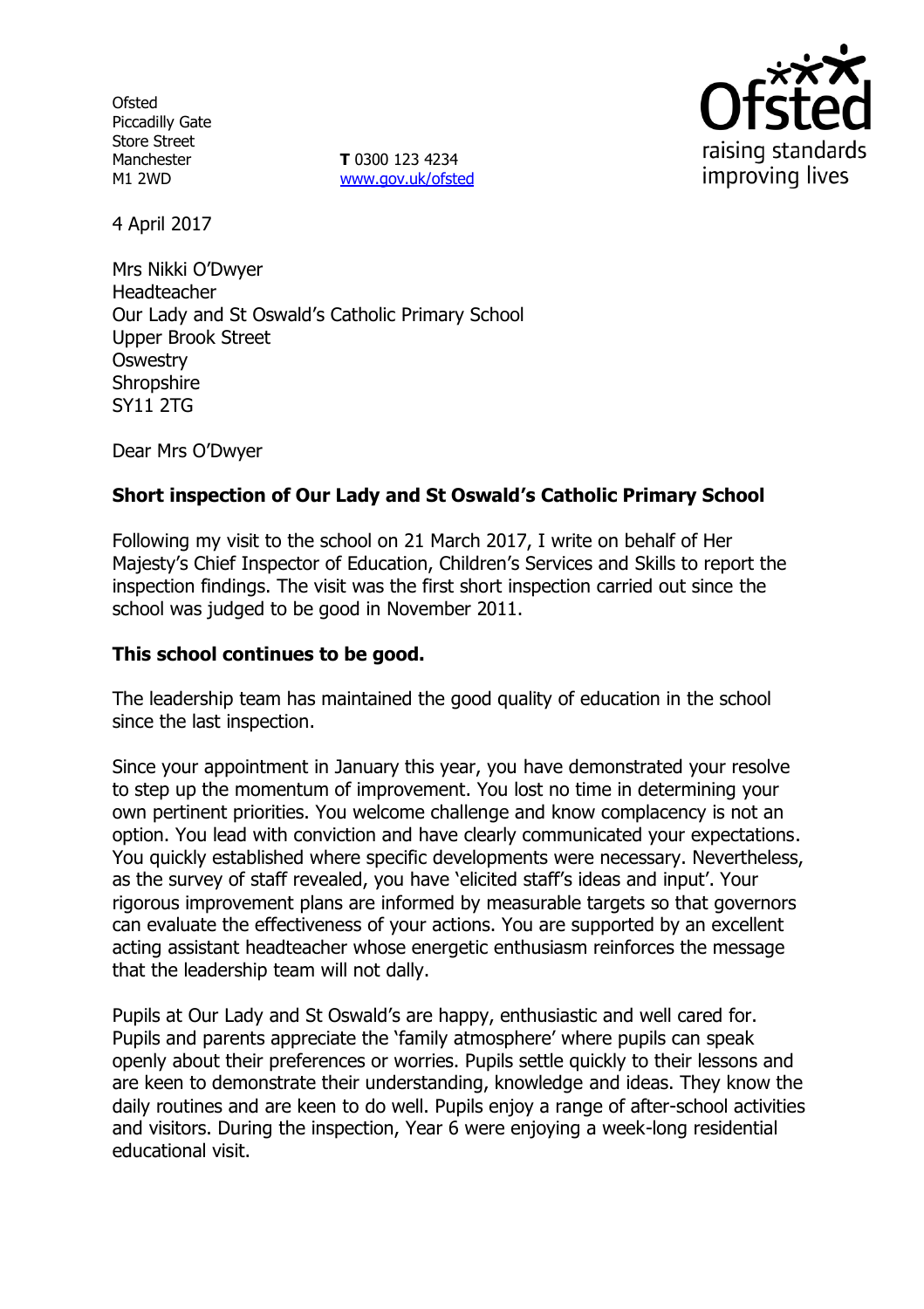**Ofsted** Piccadilly Gate Store Street Manchester M1 2WD

**T** 0300 123 4234 [www.gov.uk/ofsted](http://www.gov.uk/ofsted)



4 April 2017

Mrs Nikki O'Dwyer Headteacher Our Lady and St Oswald's Catholic Primary School Upper Brook Street **Oswestry Shropshire** SY11 2TG

Dear Mrs O'Dwyer

## **Short inspection of Our Lady and St Oswald's Catholic Primary School**

Following my visit to the school on 21 March 2017, I write on behalf of Her Majesty's Chief Inspector of Education, Children's Services and Skills to report the inspection findings. The visit was the first short inspection carried out since the school was judged to be good in November 2011.

### **This school continues to be good.**

The leadership team has maintained the good quality of education in the school since the last inspection.

Since your appointment in January this year, you have demonstrated your resolve to step up the momentum of improvement. You lost no time in determining your own pertinent priorities. You welcome challenge and know complacency is not an option. You lead with conviction and have clearly communicated your expectations. You quickly established where specific developments were necessary. Nevertheless, as the survey of staff revealed, you have 'elicited staff's ideas and input'. Your rigorous improvement plans are informed by measurable targets so that governors can evaluate the effectiveness of your actions. You are supported by an excellent acting assistant headteacher whose energetic enthusiasm reinforces the message that the leadership team will not dally.

Pupils at Our Lady and St Oswald's are happy, enthusiastic and well cared for. Pupils and parents appreciate the 'family atmosphere' where pupils can speak openly about their preferences or worries. Pupils settle quickly to their lessons and are keen to demonstrate their understanding, knowledge and ideas. They know the daily routines and are keen to do well. Pupils enjoy a range of after-school activities and visitors. During the inspection, Year 6 were enjoying a week-long residential educational visit.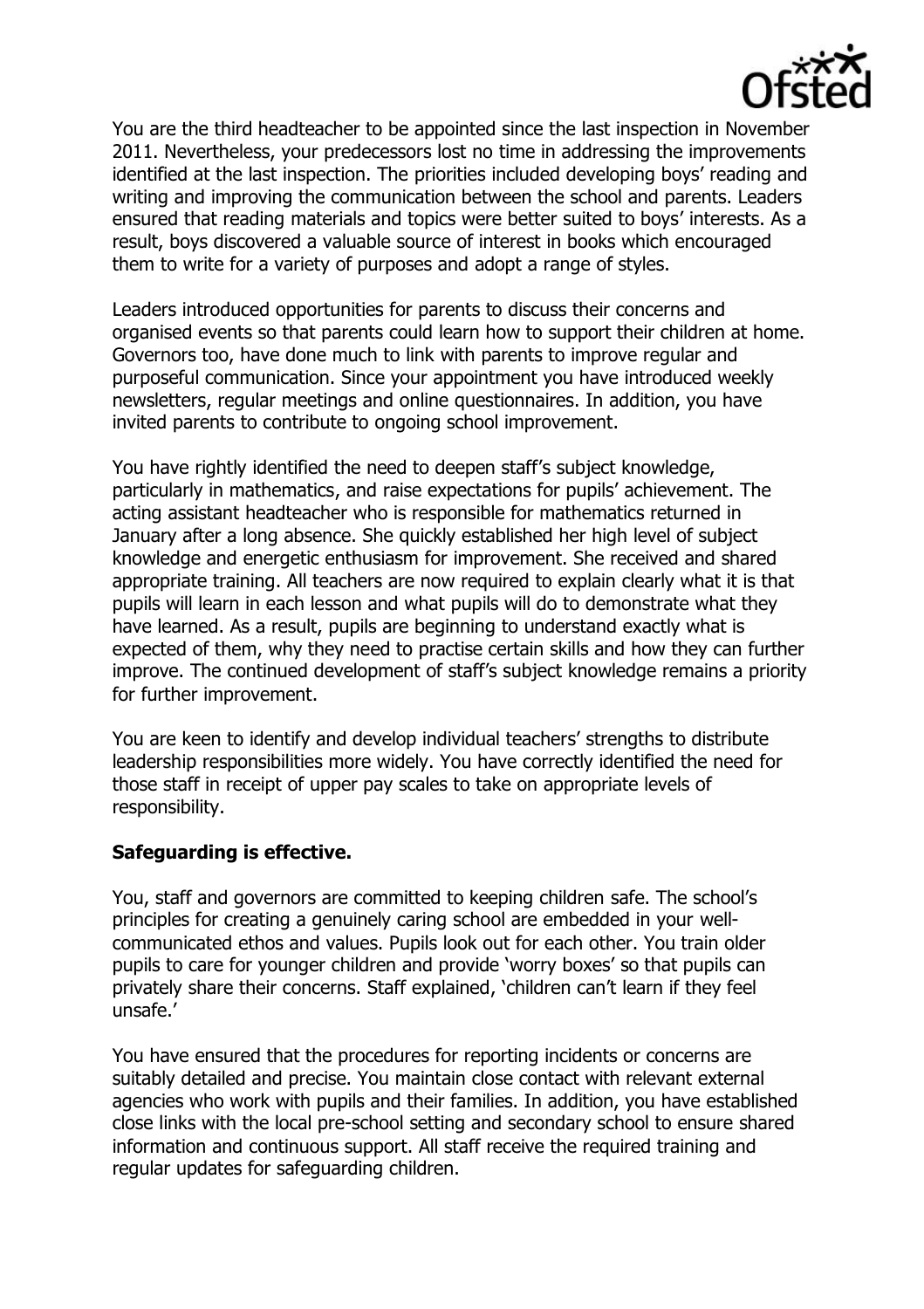

You are the third headteacher to be appointed since the last inspection in November 2011. Nevertheless, your predecessors lost no time in addressing the improvements identified at the last inspection. The priorities included developing boys' reading and writing and improving the communication between the school and parents. Leaders ensured that reading materials and topics were better suited to boys' interests. As a result, boys discovered a valuable source of interest in books which encouraged them to write for a variety of purposes and adopt a range of styles.

Leaders introduced opportunities for parents to discuss their concerns and organised events so that parents could learn how to support their children at home. Governors too, have done much to link with parents to improve regular and purposeful communication. Since your appointment you have introduced weekly newsletters, regular meetings and online questionnaires. In addition, you have invited parents to contribute to ongoing school improvement.

You have rightly identified the need to deepen staff's subject knowledge, particularly in mathematics, and raise expectations for pupils' achievement. The acting assistant headteacher who is responsible for mathematics returned in January after a long absence. She quickly established her high level of subject knowledge and energetic enthusiasm for improvement. She received and shared appropriate training. All teachers are now required to explain clearly what it is that pupils will learn in each lesson and what pupils will do to demonstrate what they have learned. As a result, pupils are beginning to understand exactly what is expected of them, why they need to practise certain skills and how they can further improve. The continued development of staff's subject knowledge remains a priority for further improvement.

You are keen to identify and develop individual teachers' strengths to distribute leadership responsibilities more widely. You have correctly identified the need for those staff in receipt of upper pay scales to take on appropriate levels of responsibility.

### **Safeguarding is effective.**

You, staff and governors are committed to keeping children safe. The school's principles for creating a genuinely caring school are embedded in your wellcommunicated ethos and values. Pupils look out for each other. You train older pupils to care for younger children and provide 'worry boxes' so that pupils can privately share their concerns. Staff explained, 'children can't learn if they feel unsafe.'

You have ensured that the procedures for reporting incidents or concerns are suitably detailed and precise. You maintain close contact with relevant external agencies who work with pupils and their families. In addition, you have established close links with the local pre-school setting and secondary school to ensure shared information and continuous support. All staff receive the required training and regular updates for safeguarding children.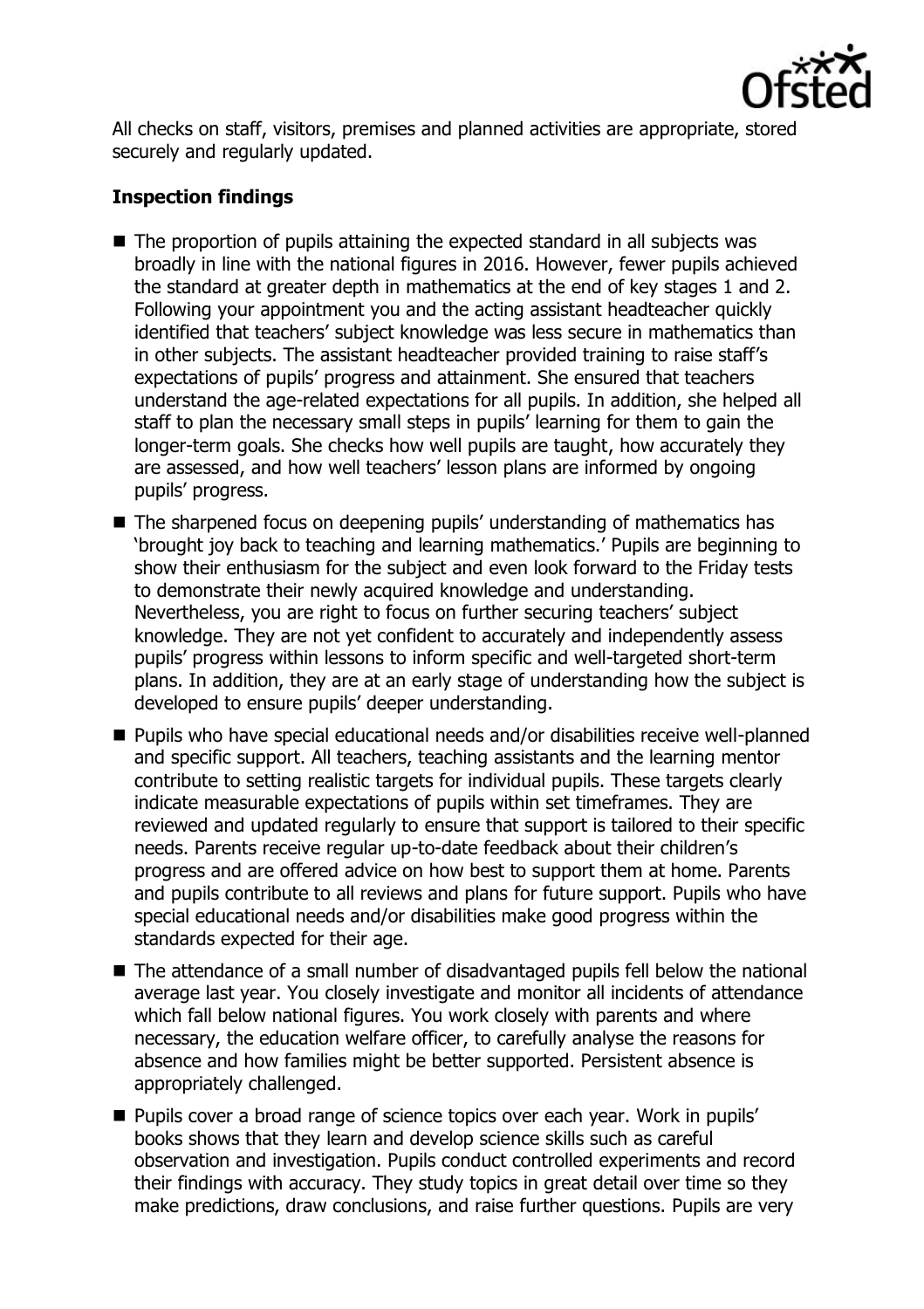

All checks on staff, visitors, premises and planned activities are appropriate, stored securely and regularly updated.

## **Inspection findings**

- The proportion of pupils attaining the expected standard in all subjects was broadly in line with the national figures in 2016. However, fewer pupils achieved the standard at greater depth in mathematics at the end of key stages 1 and 2. Following your appointment you and the acting assistant headteacher quickly identified that teachers' subject knowledge was less secure in mathematics than in other subjects. The assistant headteacher provided training to raise staff's expectations of pupils' progress and attainment. She ensured that teachers understand the age-related expectations for all pupils. In addition, she helped all staff to plan the necessary small steps in pupils' learning for them to gain the longer-term goals. She checks how well pupils are taught, how accurately they are assessed, and how well teachers' lesson plans are informed by ongoing pupils' progress.
- The sharpened focus on deepening pupils' understanding of mathematics has 'brought joy back to teaching and learning mathematics.' Pupils are beginning to show their enthusiasm for the subject and even look forward to the Friday tests to demonstrate their newly acquired knowledge and understanding. Nevertheless, you are right to focus on further securing teachers' subject knowledge. They are not yet confident to accurately and independently assess pupils' progress within lessons to inform specific and well-targeted short-term plans. In addition, they are at an early stage of understanding how the subject is developed to ensure pupils' deeper understanding.
- Pupils who have special educational needs and/or disabilities receive well-planned and specific support. All teachers, teaching assistants and the learning mentor contribute to setting realistic targets for individual pupils. These targets clearly indicate measurable expectations of pupils within set timeframes. They are reviewed and updated regularly to ensure that support is tailored to their specific needs. Parents receive regular up-to-date feedback about their children's progress and are offered advice on how best to support them at home. Parents and pupils contribute to all reviews and plans for future support. Pupils who have special educational needs and/or disabilities make good progress within the standards expected for their age.
- The attendance of a small number of disadvantaged pupils fell below the national average last year. You closely investigate and monitor all incidents of attendance which fall below national figures. You work closely with parents and where necessary, the education welfare officer, to carefully analyse the reasons for absence and how families might be better supported. Persistent absence is appropriately challenged.
- **Pupils cover a broad range of science topics over each year. Work in pupils'** books shows that they learn and develop science skills such as careful observation and investigation. Pupils conduct controlled experiments and record their findings with accuracy. They study topics in great detail over time so they make predictions, draw conclusions, and raise further questions. Pupils are very